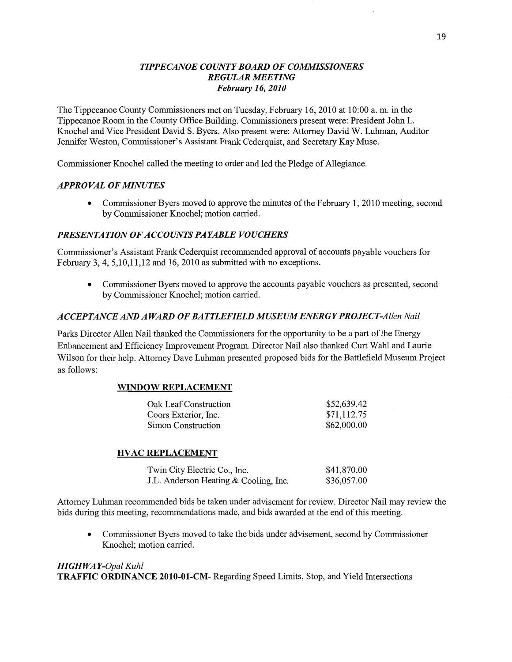### *TIPPECANOE COUNTY BOARD* OF *COMMISSIOJWERS*   $REGULAR MEETING$ *February* 16, *2010*

The Tippecanoe County Commissioners met on Tuesday, February 16, 2010 at 10:00 a. m. in the Tippecanoe Room in the County Office Building. Commissioners present were: President John L. Knochel and **Vice** President **David** S. Byers. Also present were: Attorney David W. **Luhman,** Auditor Jennifer Weston, Commissioner's Assistant Frank Cederquist, and Secretary Kay Muse.

Commissioner Knochel called the meeting to order and led the Pledge of Allegiance.

## **APPROVAL OF MINUTES**

**0** Commissioner Byers moved to approve the **minutes** of the February 1, 2010 meeting, **second**  by Commissioner **Knochel; motion** carried.

## **PRESENTATION OF ACCOUNTS PAYABLE VOUCHERS**

Commissioner's **Assistant** Frank **Cederquist** recommended approval of accounts payable vouchers for February 3, 4, 5,10,11,12 and 16, 2010 as submitted with no **exceptions.** 

**0** Commissioner Byers moved to approve the accounts payable **vouchers** as presented, second by Commissioner Knochel; motion carried.

## *ACCEPTANCE* AND *A WARD* 0F BA *T T LEFIELD M* USE UM *ENERGY PROJE* CT *-Allen Nail*

Parks Director Allen Nail thanked the Commissioners for the opportunity to be a part of the Energy Enhancement and Efficiency Improvement Program. Director Nail also thanked Curt **Wahl** and Laurie Wilson for their help. Attorney Dave Luhman presented proposed bids for the Battlefield Museum Project as follows:

#### **WINDOW REPLACEMENT**

| Oak Leaf Construction | \$52,639.42 |
|-----------------------|-------------|
| Coors Exterior, Inc.  | \$71,112.75 |
| Simon Construction    | \$62,000.00 |

#### **HVAC REPLACEMENT**

| Twin City Electric Co., Inc.          | \$41,870.00 |
|---------------------------------------|-------------|
| J.L. Anderson Heating & Cooling, Inc. | \$36,057.00 |

Attorney Luhman recommended bids be taken under advisement for review. Director Nail may review the bids during this meeting, recommendations made, and bids awarded at the end of **this** meeting.

**0** Commissioner Byers moved to take the bids under advisement, second by Commissioner Knochel; **motion** carried.

### HI *GHWA Y-Opal Kuhl*  **TRAFFIC ORDINANCE 2010-01-CM-** Regarding Speed **Limits, Stop,** and Yield Intersections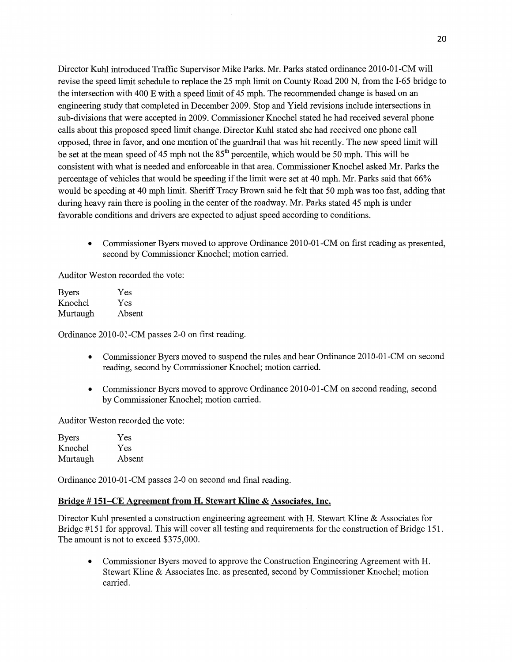Director Kuhl introduced Traffic Supervisor Mike Parks. Mr. Parks stated ordinance 2010-01-CM will revise the speed limit schedule to replace the 25 mph limit on County Road 200 N, from the I-65 bridge to the intersection with 400 E with a speed limit of 45 mph. The recommended change is based on an engineering study that completed in December 2009. Stop and Yield revisions include intersections in sub-divisions that were accepted in 2009. Commissioner Knochel stated he had received several **phone**  calls about **this** proposed speed **limit** change. Director Kuhl stated she had received one phone call opposed, three in favor, and one mention of the guardrail that was hit recently. The new speed limit will be set at the mean speed of 45 mph not the  $85<sup>th</sup>$  percentile, which would be 50 mph. This will be consistent with what is needed and enforceable in that area. Commissioner Knochel asked Mr. Parks the percentage of vehicles that would be speeding if the limit were set at 40 **mph.** Mr. Parks said that 66% would be speeding at 40 mph limit. Sheriff Tracy Brown said he felt that 50 mph was too fast, adding that during heavy rain there is pooling in the center of the roadway. Mr. Parks stated 45 mph is under favorable conditions and drivers are expected to adjust speed according to conditions.

**0** Commissioner Byers moved to approve Ordinance 2010—01-CM on first reading as presented, second by Commissioner Knochel; motion carried.

Auditor Weston recorded the vote:

| <b>Byers</b> | Yes    |
|--------------|--------|
| Knochel      | Yes    |
| Murtaugh     | Absent |

Ordinance 2010-01-CM passes 2—0 on first reading.

- **0** Commissioner Byers moved to suspend the rules and hear Ordinance 2010-01-CM on second reading, second by Commissioner Knochel; motion carried.
- Commissioner Byers moved to approve Ordinance 2010-01-CM on second reading, second by Commissioner Knochel; motion carried.

Auditor Weston recorded the vote:

Byers Yes Knochel Yes Murtaugh Absent

Ordinance 2010-01-CM passes 2-0 on second and final reading.

#### Bridge # **151—CE Agreement** from H. **Stewart Kline & Associates, Inc.**

Director Kuhl presented a construction engineering agreement with H. Stewart Kline & Associates for Bridge #151 for approval. This will cover all testing and requirements for the construction of Bridge **151.**  The amount is not to exceed \$375,000.

**0** Commissioner Byers **moved** to approve the Construction Engineering Agreement with H. Stewart Kline & Associates Inc. as presented, second by Commissioner Knochel; motion carried.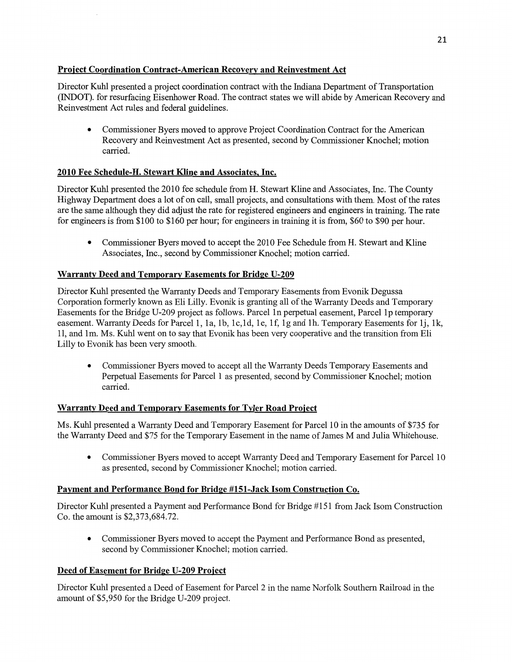# **Project Coordination Contract-American Recovery and Reinvestment Act**

Director Kuhl presented a project coordination contract with the **Indiana Department** of **Transportation**  (INDOT). for resurfacing Eisenhower Road. The contract **states** we will abide by American Recovery and Reinvestment Act rules and federal guidelines.

• Commissioner Byers moved to approve Project Coordination Contract for the American Recovery and Reinvestment Act as presented, second by Commissioner Knochel; motion carried.

# **2010** Fee **Schedule-H. Stewart Kline** and **Associates Inc.**

Director Kuhl presented the 2010 fee schedule from H. Stewart **Kline** and Associates, Inc. The County Highway Department does a lot of on **call,** small projects, and consultations with them. Most of the rates are the same although they did adjust the rate for registered engineers and engineers in training. The rate for engineers is from \$100 to \$160 per hour; for engineers in training it is fiom, \$60 to \$90 per **hour.** 

**0** Commissioner Byers **moved** to accept the 2010 Fee Schedule from H. Stewart and Kline Associates, Inc., second by Commissioner **Knochel; motion** cam'ed.

# **Warranty Deed and Temporary Easements for Bridge U-209**

Director **Kuhl** presented the Warranty Deeds and Temporary Easements from **Evonik** Degussa Corporation formerly known as Eli Lilly. **Evonik** is granting all of the Warranty Deeds and Temporary Easements for the Bridge U-209 project as follows. Parcel 1n perpetual easement, Parcel 1p temporary easement. Warranty Deeds for Parcel 1, 1a, 1b, 1c,1d, 16, 1f, 1g and 1h. Temporary Easements for lj, 1k, 11, and 1m. Ms. Kuhl went on to say that Evonik has been very cooperative and the transition from Eli Lilly to Evonik has been very smooth.

**0** Commissioner Byers **moved** to accept all the Warranty Deeds Temporary Easements and Perpetual Easements for Parcel **1** as presented, second by Commissioner Knochel; **motion**  carried.

## **Warranty Deed and Temporary Easements for Tyler Road Project**

Ms. **Kuhl** presented **a** Warranty Deed and Temporary Easement for Parcel 10 in the amounts of \$735 for the Warranty Deed and \$75 for the Temporary Easement in the name of James **M** and Julia Whitehouse.

**0** Commissioner Byers moved to accept Warranty Deed and Temporary Easement for Parcel 10 as presented, second by Commissioner Knochel; motion carried.

## **Pament** and **Performance Bond** for **Bridge #151-Jack Isom Construction** Co.

Director **Kuhl** presented a **Payment** and Performance Bond for Bridge #151 from Jack Isom Construction Co. the amount is \$2,373,684.72.

**0** Commissioner Byers moved to accept the Payment and Performance Bond as presented, second by Commissioner Knochel; **motion** carried.

## **Deed** of **Easement** for **Bridge U-209 Project**

Director Kuhl presented a Deed of Easement for Parcel 2 in the name Norfolk Southern Railroad in the amount of \$5,950 for the Bridge U—209 project.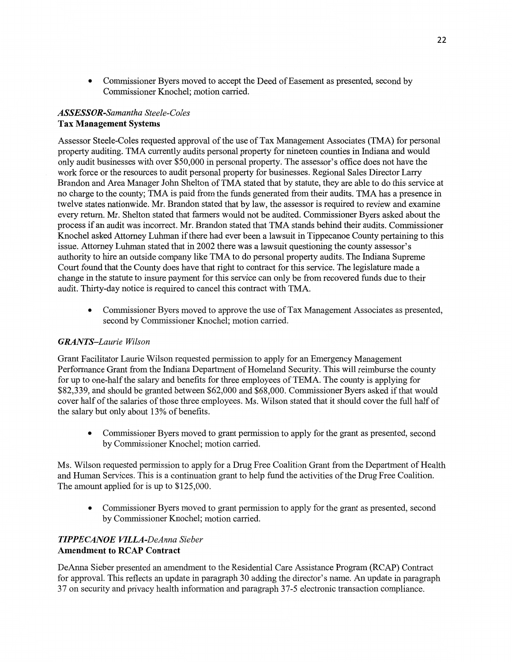**0** Commissioner Byers moved to accept the Deed of Easement as presented, second by Commissioner Knochel; motion carried.

### *ASSESSOR-Samantha Steele-Coles*  Tax **Management Systems**

Assessor Steele-Coles requested approval of the use of Tax Management Associates (TMA) for personal property auditing. TMA currently audits personal property for nineteen counties in **Indiana** and would only audit **businesses** with over \$50,000 in personal property. The assessor's office does not have the work force or the resources to audit personal property for **businesses.** Regional Sales Director Lany Brandon and Area Manager John Shelton of TMA **stated** that by statute, they are able to do **this** service at no charge to the county; TMA is paid from the funds generated from their audits. TMA has a **presence** in twelve states nationwide. Mr. Brandon stated that by law, the assessor is required to review and examine every return. Mr. Shelton stated **that** farmers would not be audited. Commissioner Byers asked about the process if an audit was incorrect. Mr. Brandon stated that TMA stands behind **their** audits. **Commissioner**  Knochel asked Attorney **Luhman** if there had ever been a lawsuit in Tippecanoe County pertaining to this **issue. Attorney Luhman** stated that in 2002 there was a lawsuit questioning the county assessor's authority to hire an outside company like TMA to do personal property **audits.** The Indiana Supreme Court found **that** the County does have that right to contract for this service. The legislature made a change in the statute to insure payment for **this** service can only be fiom recovered funds due to their audit. Thirty-day notice is required to cancel this contract with **TMA.** 

**0** Commissioner Byers moved to approve the use of Tax Management Associates as presented, second by Commissioner Knochel; motion carried.

#### *GRANTS—Laurie Wilson*

Grant **Facilitator** Laurie **Wilson** requested permission to apply for an Emergency Management Performance Grant from the **Indiana** Department of Homeland Security. **This** will reimburse the county for up to one-half the salary and benefits for three employees of TEMA. The county is applying for \$82,339, and should be granted between \$62,000 and \$68,000. Commissioner Byers asked if that would cover half of the salaries of those three employees. Ms. Wilson stated that it **should** cover the full half of the salary but only about 13% of benefits.

**0** Commissioner Byers moved to grant permission to apply for the **grant** as presented, second by Commissioner Knochel; motion carried.

Ms. Wilson requested permission to apply for **a** Drug Free Coalition Grant from the Department of Health and Human Services. This is a **continuation** grant to **help** fund the activities of the Drug Free Coalition. The **amount** applied for is up to \$125,000.

• Commissioner Byers moved to grant permission to apply for the grant as presented, second by Commissioner Knochel; motion carried.

## *TIPPECANOE WLLA-DeAnna Sieber*  **Amendment** to **RCAP Contract**

DeAnna Sieber presented an amendment to the Residential Care Assistance Program (RCAP) **Contract**  for approval. This reflects an update in paragraph 30 adding the director's name. An update in paragraph 37 on security and privacy health information and paragraph 37-5 electronic transaction **compliance.**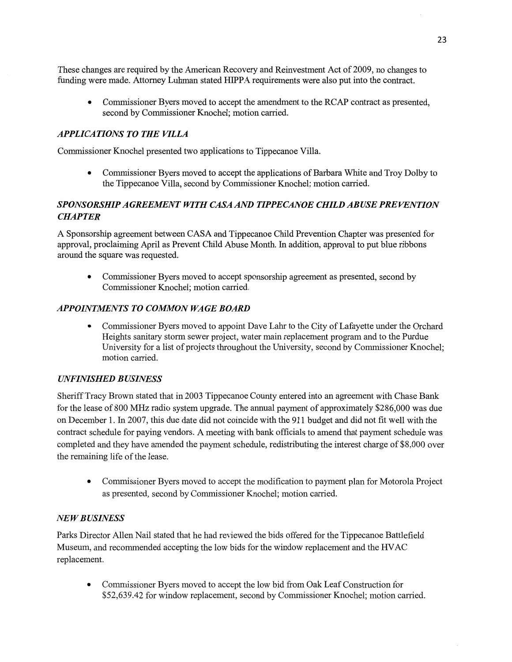These **changes** are required by the American Recovery and Reinvestment Act of 2009, no changes to funding were **made.** Attorney Luhman stated **HIPPA** requirements were also put into the contract.

**0** Commissioner Byers **moved** to accept the **amendment** to the **RCAP** contract as presented, second by Commissioner **Knochel; motion** carried.

### *APPLICATIONS T 0* THE *VILLA*

**Commissioner Knochel** presented two **applications** to **Tippecanoe Villa.** 

**0** Commissioner Byers moved to accept the **applications** of Barbara White and Troy Dolby to the Tippecanoe Villa, second by Commissioner Knochel; **motion** carried.

# *SPONSORSHIP AGREEMENT WITH CASA* AND *T IPPE CANOE CHILD* AB USE *PREVENTION CHAPTER*

**A** Sponsorship agreement between **CASA** and Tippecanoe Child Prevention Chapter was presented for approval, proclaiming April as Prevent **Child Abuse** Month. In addition, **approval** to put blue ribbons around the square was requested.

**0** Commissioner Byers moved to accept sponsorship agreement as presented, second by Commissioner **Knochel; motion** carried.

#### **APPOINTMENTS TO COMMON WAGE BOARD**

**0** Commissioner Byers moved to appoint Dave Lahr to the City of Lafayette under the Orchard Heights sanitary storm sewer project, water main replacement program and to the Purdue University for **a** list of projects throughout the University, second by Commissioner Knochel; **motion** carried.

#### *UNFINISHED BUSINESS*

Sheriff Tracy Brown stated **that** in 2003 Tippecanoe County entered into an agreement with Chase Bank for the lease of 800 MHz radio system upgrade. The annual payment of approximately \$286,000 was due on December 1. In 2007, this due date did not coincide with the 911 budget and did not fit well with the contract schedule for paying vendors. **A** meeting with bank officials to amend that payment schedule was **completed** and they have amended the payment schedule, redistributing the interest charge of \$8,000 over the remaining **life** of the lease.

**0** Commissioner Byers moved to accept the modification to payment plan for Motorola Project as presented, second by Commissioner Knochel; motion carried.

#### NE *W B USINESS*

Parks Director **Allen** Nail stated that he had reviewed the bids offered for the Tippecanoe Battlefield Museum, and recommended accepting the low bids for the window replacement and the **HVAC**  replacement.

**0** Commissioner Byers moved to accept the low bid from Oak Leaf Construction for \$52,639.42 for Window replacement, **second** by Commissioner Knochel; motion carried.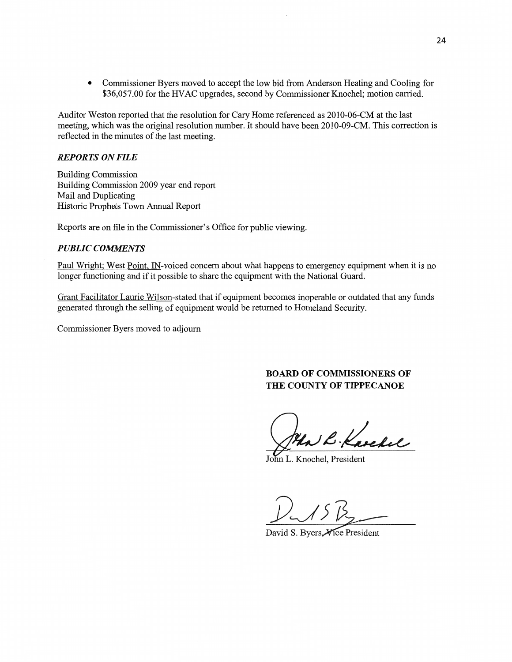**0 Commissioner** Byers **moved** to accept the low bid from **Anderson** Heating and Cooling for \$36,057.00 for the HVAC upgrades, second by Commissioner Knochel; motion carried.

**Auditor** Weston reported that the resolution for Cary **Home** referenced as 2010-06-CM at the last meeting, **which** was the original resolution number. It **should** have been 2010-09-CM. **This** correction is reflected in the minutes of the last meeting.

#### *REPORTS* ON *FILE*

Building Commission Building **Commission** 2009 year end repor<sup>t</sup> Mail and Duplicating Historic Prophets Town Annual Report

Reports are on file in the Commissioner's **Office** for public **viewing.** 

#### $PUBLIC$  *COMMENTS*

Paul Wright; West Point, IN-voiced concern about what happens to emergency equipment when it is no longer **functioning** and if it **possible** to share the equipment with the National Guard.

Grant Facilitator Laun'e Wilson-stated that if equipment becomes inoperable or outdated **that** any funds generated **through** the **selling** of equipment would be retumed to **Homeland** Security.

Commissioner Byers moved to adjourn

### **BOARD** OF **COMNIISSIONERS** OF **THE COUNTY OF TIPPECANOE**

 $\mathcal{L}$  Kaschel

John L. Knochel, President

 $1/15 B_2$ 

David S. Byers Vice President